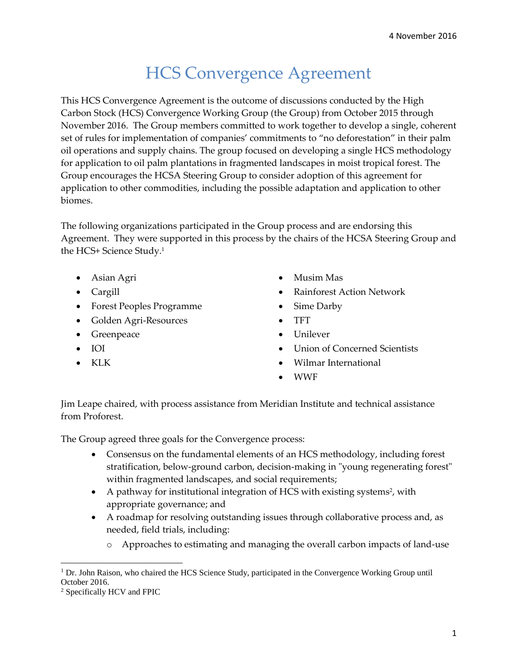## HCS Convergence Agreement

This HCS Convergence Agreement is the outcome of discussions conducted by the High Carbon Stock (HCS) Convergence Working Group (the Group) from October 2015 through November 2016. The Group members committed to work together to develop a single, coherent set of rules for implementation of companies' commitments to "no deforestation" in their palm oil operations and supply chains. The group focused on developing a single HCS methodology for application to oil palm plantations in fragmented landscapes in moist tropical forest. The Group encourages the HCSA Steering Group to consider adoption of this agreement for application to other commodities, including the possible adaptation and application to other biomes.

The following organizations participated in the Group process and are endorsing this Agreement. They were supported in this process by the chairs of the HCSA Steering Group and the HCS+ Science Study.<sup>1</sup>

- Asian Agri
- Cargill
- Forest Peoples Programme
- Golden Agri-Resources
- Greenpeace
- IOI
- KLK
- Musim Mas
- Rainforest Action Network
- Sime Darby
- TFT
- Unilever
- Union of Concerned Scientists
- Wilmar International
- WWF

Jim Leape chaired, with process assistance from Meridian Institute and technical assistance from Proforest.

The Group agreed three goals for the Convergence process:

- Consensus on the fundamental elements of an HCS methodology, including forest stratification, below-ground carbon, decision-making in "young regenerating forest" within fragmented landscapes, and social requirements;
- A pathway for institutional integration of HCS with existing systems<sup>2</sup>, with appropriate governance; and
- A roadmap for resolving outstanding issues through collaborative process and, as needed, field trials, including:
	- o Approaches to estimating and managing the overall carbon impacts of land-use

 $\overline{\phantom{a}}$  $1$  Dr. John Raison, who chaired the HCS Science Study, participated in the Convergence Working Group until October 2016.

<sup>2</sup> Specifically HCV and FPIC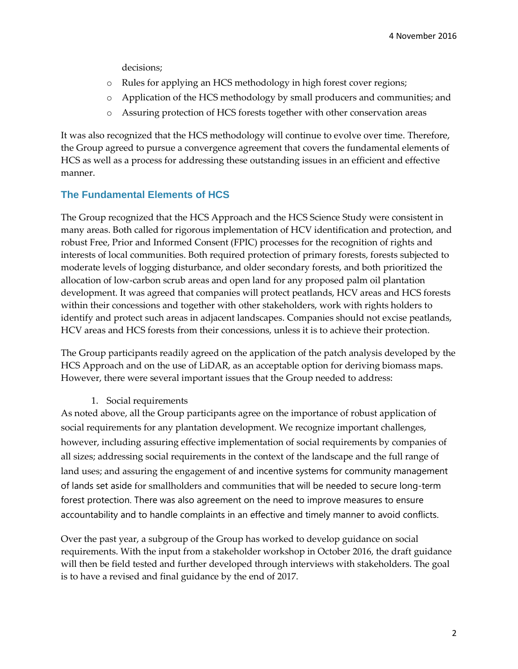decisions;

- o Rules for applying an HCS methodology in high forest cover regions;
- o Application of the HCS methodology by small producers and communities; and
- o Assuring protection of HCS forests together with other conservation areas

It was also recognized that the HCS methodology will continue to evolve over time. Therefore, the Group agreed to pursue a convergence agreement that covers the fundamental elements of HCS as well as a process for addressing these outstanding issues in an efficient and effective manner.

## **The Fundamental Elements of HCS**

The Group recognized that the HCS Approach and the HCS Science Study were consistent in many areas. Both called for rigorous implementation of HCV identification and protection, and robust Free, Prior and Informed Consent (FPIC) processes for the recognition of rights and interests of local communities. Both required protection of primary forests, forests subjected to moderate levels of logging disturbance, and older secondary forests, and both prioritized the allocation of low-carbon scrub areas and open land for any proposed palm oil plantation development. It was agreed that companies will protect peatlands, HCV areas and HCS forests within their concessions and together with other stakeholders, work with rights holders to identify and protect such areas in adjacent landscapes. Companies should not excise peatlands, HCV areas and HCS forests from their concessions, unless it is to achieve their protection.

The Group participants readily agreed on the application of the patch analysis developed by the HCS Approach and on the use of LiDAR, as an acceptable option for deriving biomass maps. However, there were several important issues that the Group needed to address:

1. Social requirements

As noted above, all the Group participants agree on the importance of robust application of social requirements for any plantation development. We recognize important challenges, however, including assuring effective implementation of social requirements by companies of all sizes; addressing social requirements in the context of the landscape and the full range of land uses; and assuring the engagement of and incentive systems for community management of lands set aside for smallholders and communities that will be needed to secure long-term forest protection. There was also agreement on the need to improve measures to ensure accountability and to handle complaints in an effective and timely manner to avoid conflicts.

Over the past year, a subgroup of the Group has worked to develop guidance on social requirements. With the input from a stakeholder workshop in October 2016, the draft guidance will then be field tested and further developed through interviews with stakeholders. The goal is to have a revised and final guidance by the end of 2017.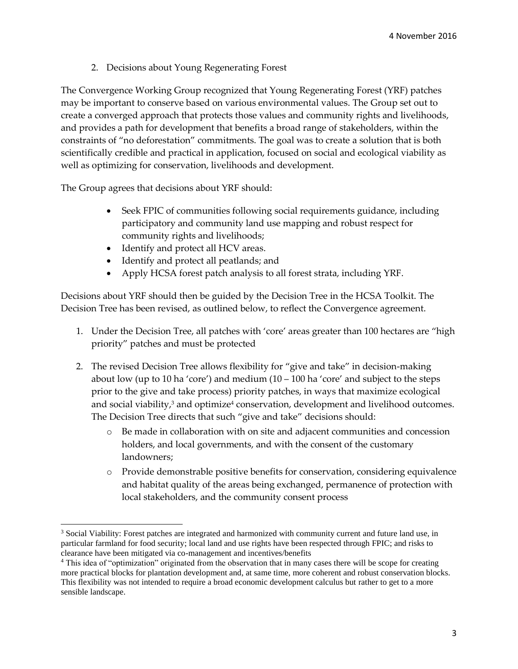2. Decisions about Young Regenerating Forest

The Convergence Working Group recognized that Young Regenerating Forest (YRF) patches may be important to conserve based on various environmental values. The Group set out to create a converged approach that protects those values and community rights and livelihoods, and provides a path for development that benefits a broad range of stakeholders, within the constraints of "no deforestation" commitments. The goal was to create a solution that is both scientifically credible and practical in application, focused on social and ecological viability as well as optimizing for conservation, livelihoods and development.

The Group agrees that decisions about YRF should:

 $\overline{\phantom{a}}$ 

- Seek FPIC of communities following social requirements guidance, including participatory and community land use mapping and robust respect for community rights and livelihoods;
- Identify and protect all HCV areas.
- Identify and protect all peatlands; and
- Apply HCSA forest patch analysis to all forest strata, including YRF.

Decisions about YRF should then be guided by the Decision Tree in the HCSA Toolkit. The Decision Tree has been revised, as outlined below, to reflect the Convergence agreement.

- 1. Under the Decision Tree, all patches with 'core' areas greater than 100 hectares are "high priority" patches and must be protected
- 2. The revised Decision Tree allows flexibility for "give and take" in decision-making about low (up to 10 ha 'core') and medium  $(10 - 100$  ha 'core' and subject to the steps prior to the give and take process) priority patches, in ways that maximize ecological and social viability, $3$  and optimize $4$  conservation, development and livelihood outcomes. The Decision Tree directs that such "give and take" decisions should:
	- o Be made in collaboration with on site and adjacent communities and concession holders, and local governments, and with the consent of the customary landowners;
	- o Provide demonstrable positive benefits for conservation, considering equivalence and habitat quality of the areas being exchanged, permanence of protection with local stakeholders, and the community consent process

<sup>&</sup>lt;sup>3</sup> Social Viability: Forest patches are integrated and harmonized with community current and future land use, in particular farmland for food security; local land and use rights have been respected through FPIC; and risks to clearance have been mitigated via co-management and incentives/benefits

<sup>4</sup> This idea of "optimization" originated from the observation that in many cases there will be scope for creating more practical blocks for plantation development and, at same time, more coherent and robust conservation blocks. This flexibility was not intended to require a broad economic development calculus but rather to get to a more sensible landscape.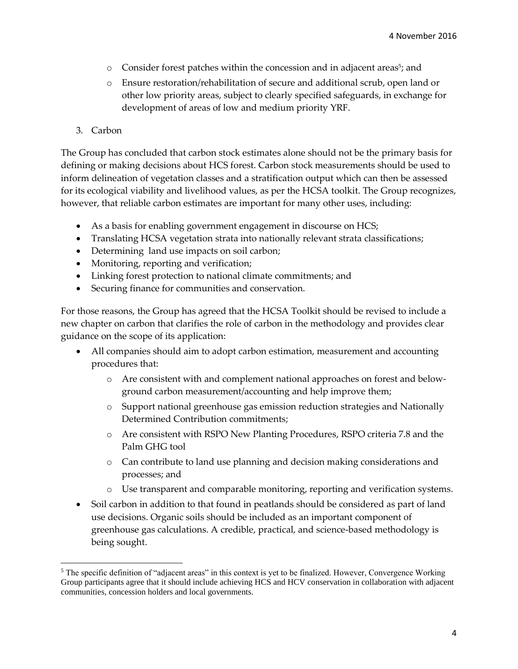- o Consider forest patches within the concession and in adjacent areas<sup>5</sup>; and
- o Ensure restoration/rehabilitation of secure and additional scrub, open land or other low priority areas, subject to clearly specified safeguards, in exchange for development of areas of low and medium priority YRF.
- 3. Carbon

 $\overline{\phantom{a}}$ 

The Group has concluded that carbon stock estimates alone should not be the primary basis for defining or making decisions about HCS forest. Carbon stock measurements should be used to inform delineation of vegetation classes and a stratification output which can then be assessed for its ecological viability and livelihood values, as per the HCSA toolkit. The Group recognizes, however, that reliable carbon estimates are important for many other uses, including:

- As a basis for enabling government engagement in discourse on HCS;
- Translating HCSA vegetation strata into nationally relevant strata classifications;
- Determining land use impacts on soil carbon;
- Monitoring, reporting and verification;
- Linking forest protection to national climate commitments; and
- Securing finance for communities and conservation.

For those reasons, the Group has agreed that the HCSA Toolkit should be revised to include a new chapter on carbon that clarifies the role of carbon in the methodology and provides clear guidance on the scope of its application:

- All companies should aim to adopt carbon estimation, measurement and accounting procedures that:
	- o Are consistent with and complement national approaches on forest and belowground carbon measurement/accounting and help improve them;
	- o Support national greenhouse gas emission reduction strategies and Nationally Determined Contribution commitments;
	- o Are consistent with RSPO New Planting Procedures, RSPO criteria 7.8 and the Palm GHG tool
	- o Can contribute to land use planning and decision making considerations and processes; and
	- o Use transparent and comparable monitoring, reporting and verification systems.
- Soil carbon in addition to that found in peatlands should be considered as part of land use decisions. Organic soils should be included as an important component of greenhouse gas calculations. A credible, practical, and science-based methodology is being sought.

 $<sup>5</sup>$  The specific definition of "adjacent areas" in this context is yet to be finalized. However, Convergence Working</sup> Group participants agree that it should include achieving HCS and HCV conservation in collaboration with adjacent communities, concession holders and local governments.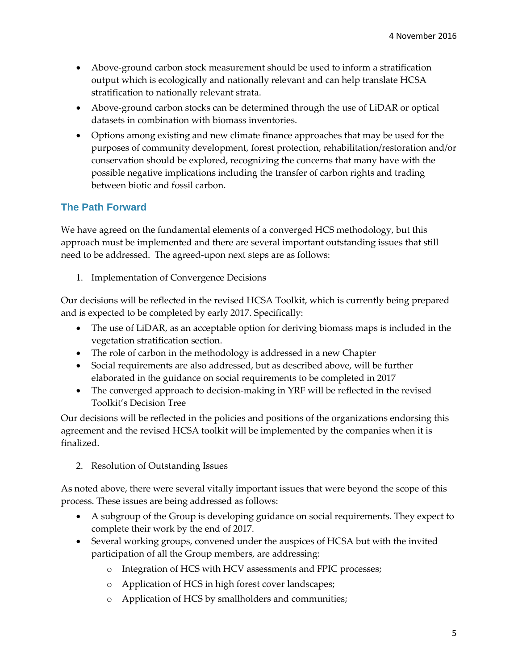- Above-ground carbon stock measurement should be used to inform a stratification output which is ecologically and nationally relevant and can help translate HCSA stratification to nationally relevant strata.
- Above-ground carbon stocks can be determined through the use of LiDAR or optical datasets in combination with biomass inventories.
- Options among existing and new climate finance approaches that may be used for the purposes of community development, forest protection, rehabilitation/restoration and/or conservation should be explored, recognizing the concerns that many have with the possible negative implications including the transfer of carbon rights and trading between biotic and fossil carbon.

## **The Path Forward**

We have agreed on the fundamental elements of a converged HCS methodology, but this approach must be implemented and there are several important outstanding issues that still need to be addressed. The agreed-upon next steps are as follows:

1. Implementation of Convergence Decisions

Our decisions will be reflected in the revised HCSA Toolkit, which is currently being prepared and is expected to be completed by early 2017. Specifically:

- The use of LiDAR, as an acceptable option for deriving biomass maps is included in the vegetation stratification section.
- The role of carbon in the methodology is addressed in a new Chapter
- Social requirements are also addressed, but as described above, will be further elaborated in the guidance on social requirements to be completed in 2017
- The converged approach to decision-making in YRF will be reflected in the revised Toolkit's Decision Tree

Our decisions will be reflected in the policies and positions of the organizations endorsing this agreement and the revised HCSA toolkit will be implemented by the companies when it is finalized.

2. Resolution of Outstanding Issues

As noted above, there were several vitally important issues that were beyond the scope of this process. These issues are being addressed as follows:

- A subgroup of the Group is developing guidance on social requirements. They expect to complete their work by the end of 2017.
- Several working groups, convened under the auspices of HCSA but with the invited participation of all the Group members, are addressing:
	- o Integration of HCS with HCV assessments and FPIC processes;
	- o Application of HCS in high forest cover landscapes;
	- o Application of HCS by smallholders and communities;